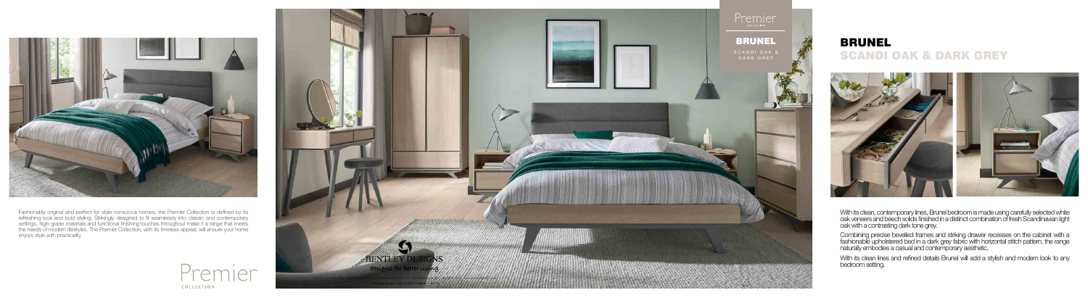

## SCANDI OAK & DARK GREY





Fashionably original and perfect for style-conscious homes, the Premier Collection is defined by its refreshing look and bold styling. Strikingly designed to fit seamlessly into classic and contemporary settings, high-grade materials and functional finishing touches throughout make it a range that meets the needs of modern lifestyles. The Premier Collection, with its timeless appeal, will ensure your home enjoys style with practicality.



With its clean, contemporary lines, Brunel bedroom is made using carefully selected white oak veneers and beech solids finished in a distinct combination of fresh Scandinavian light oak with a contrasting dark tone grey.

Combining precise bevelled frames and striking drawer recesses on the cabinet with a fashionable upholstered bed in a dark grey fabric with horizontal stitch pattern, the range naturally embodies a casual and contemporary aesthetic.

With its clean lines and refined details Brunel will add a stylish and modern look to any bedroom setting.